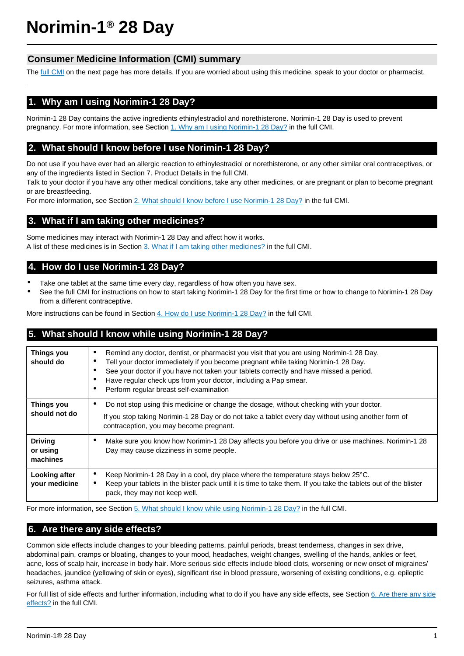# **Norimin-1® 28 Day**

# **Consumer Medicine Information (CMI) summary**

The [full CMI](#page-1-0) on the next page has more details. If you are worried about using this medicine, speak to your doctor or pharmacist.

# **1. Why am I using Norimin-1 28 Day?**

Norimin-1 28 Day contains the active ingredients ethinylestradiol and norethisterone. Norimin-1 28 Day is used to prevent pregnancy. For more information, see Section [1. Why am I using Norimin-1 28 Day?](#page-1-1) in the full CMI.

# **2. What should I know before I use Norimin-1 28 Day?**

Do not use if you have ever had an allergic reaction to ethinylestradiol or norethisterone, or any other similar oral contraceptives, or any of the ingredients listed in Section 7. Product Details in the full CMI.

Talk to your doctor if you have any other medical conditions, take any other medicines, or are pregnant or plan to become pregnant or are breastfeeding.

For more information, see Section [2. What should I know before I use Norimin-1 28 Day?](#page-1-2) in the full CMI.

# **3. What if I am taking other medicines?**

Some medicines may interact with Norimin-1 28 Day and affect how it works. A list of these medicines is in Section [3. What if I am taking other medicines?](#page-2-0) in the full CMI.

## **4. How do I use Norimin-1 28 Day?**

- Take one tablet at the same time every day, regardless of how often you have sex.
- See the full CMI for instructions on how to start taking Norimin-1 28 Day for the first time or how to change to Norimin-1 28 Day from a different contraceptive.

More instructions can be found in Section [4. How do I use Norimin-1 28 Day?](#page-3-0) in the full CMI.

## **5. What should I know while using Norimin-1 28 Day?**

| Things you<br>should do                | Remind any doctor, dentist, or pharmacist you visit that you are using Norimin-1 28 Day.<br>٠<br>Tell your doctor immediately if you become pregnant while taking Norimin-1 28 Day.<br>See your doctor if you have not taken your tablets correctly and have missed a period.<br>٠<br>Have regular check ups from your doctor, including a Pap smear.<br>٠<br>Perform regular breast self-examination<br>٠ |
|----------------------------------------|------------------------------------------------------------------------------------------------------------------------------------------------------------------------------------------------------------------------------------------------------------------------------------------------------------------------------------------------------------------------------------------------------------|
| <b>Things you</b><br>should not do     | Do not stop using this medicine or change the dosage, without checking with your doctor.<br>٠<br>If you stop taking Norimin-1 28 Day or do not take a tablet every day without using another form of<br>contraception, you may become pregnant.                                                                                                                                                            |
| <b>Driving</b><br>or using<br>machines | Make sure you know how Norimin-1 28 Day affects you before you drive or use machines. Norimin-1 28<br>٠<br>Day may cause dizziness in some people.                                                                                                                                                                                                                                                         |
| Looking after<br>your medicine         | Keep Norimin-1 28 Day in a cool, dry place where the temperature stays below 25°C.<br>٠<br>Keep your tablets in the blister pack until it is time to take them. If you take the tablets out of the blister<br>$\bullet$<br>pack, they may not keep well.                                                                                                                                                   |

For more information, see Section [5. What should I know while using Norimin-1 28 Day?](#page-4-0) in the full CMI.

# **6. Are there any side effects?**

Common side effects include changes to your bleeding patterns, painful periods, breast tenderness, changes in sex drive, abdominal pain, cramps or bloating, changes to your mood, headaches, weight changes, swelling of the hands, ankles or feet, acne, loss of scalp hair, increase in body hair. More serious side effects include blood clots, worsening or new onset of migraines/ headaches, jaundice (yellowing of skin or eyes), significant rise in blood pressure, worsening of existing conditions, e.g. epileptic seizures, asthma attack.

For full list of side effects and further information, including what to do if you have any side effects, see Section [6. Are there any side](#page-5-0) [effects?](#page-5-0) in the full CMI.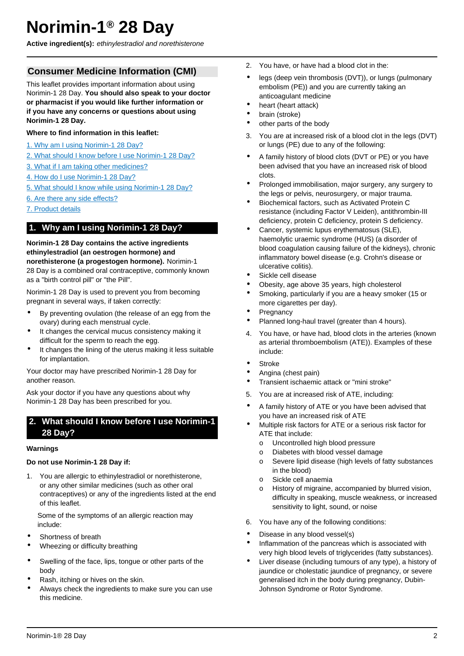# <span id="page-1-0"></span>**Norimin-1® 28 Day**

**Active ingredient(s):** ethinylestradiol and norethisterone

# **Consumer Medicine Information (CMI)**

This leaflet provides important information about using Norimin-1 28 Day. **You should also speak to your doctor or pharmacist if you would like further information or if you have any concerns or questions about using Norimin-1 28 Day.**

#### **Where to find information in this leaflet:**

- [1. Why am I using Norimin-1 28 Day?](#page-1-0)
- [2. What should I know before I use Norimin-1 28 Day?](#page-1-2)
- [3. What if I am taking other medicines?](#page-2-0)
- [4. How do I use Norimin-1 28 Day?](#page-3-0)
- [5. What should I know while using Norimin-1 28 Day?](#page-4-0)
- [6. Are there any side effects?](#page-5-0)
- [7. Product details](#page-7-0)

# <span id="page-1-1"></span>**1. Why am I using Norimin-1 28 Day?**

**Norimin-1 28 Day contains the active ingredients ethinylestradiol (an oestrogen hormone) and norethisterone (a progestogen hormone).** Norimin-1 28 Day is a combined oral contraceptive, commonly known as a "birth control pill" or "the Pill".

Norimin-1 28 Day is used to prevent you from becoming pregnant in several ways, if taken correctly:

- By preventing ovulation (the release of an egg from the ovary) during each menstrual cycle.
- It changes the cervical mucus consistency making it difficult for the sperm to reach the egg.
- It changes the lining of the uterus making it less suitable for implantation.

Your doctor may have prescribed Norimin-1 28 Day for another reason.

Ask your doctor if you have any questions about why Norimin-1 28 Day has been prescribed for you.

## <span id="page-1-2"></span>**2. What should I know before I use Norimin-1 28 Day?**

#### **Warnings**

#### **Do not use Norimin-1 28 Day if:**

1. You are allergic to ethinylestradiol or norethisterone, or any other similar medicines (such as other oral contraceptives) or any of the ingredients listed at the end of this leaflet.

Some of the symptoms of an allergic reaction may include:

- Shortness of breath
- Wheezing or difficulty breathing
- Swelling of the face, lips, tongue or other parts of the body
- Rash, itching or hives on the skin.
- Always check the ingredients to make sure you can use this medicine.
- 2. You have, or have had a blood clot in the:
- legs (deep vein thrombosis (DVT)), or lungs (pulmonary embolism (PE)) and you are currently taking an anticoagulant medicine
- heart (heart attack)
- brain (stroke)
- other parts of the body
- 3. You are at increased risk of a blood clot in the legs (DVT) or lungs (PE) due to any of the following:
- A family history of blood clots (DVT or PE) or you have been advised that you have an increased risk of blood clots.
- Prolonged immobilisation, major surgery, any surgery to the legs or pelvis, neurosurgery, or major trauma.
- Biochemical factors, such as Activated Protein C resistance (including Factor V Leiden), antithrombin-III deficiency, protein C deficiency, protein S deficiency.
- Cancer, systemic lupus erythematosus (SLE), haemolytic uraemic syndrome (HUS) (a disorder of blood coagulation causing failure of the kidneys), chronic inflammatory bowel disease (e.g. Crohn's disease or ulcerative colitis).
- Sickle cell disease
- Obesity, age above 35 years, high cholesterol
- Smoking, particularly if you are a heavy smoker (15 or more cigarettes per day).
- **Pregnancy**
- Planned long-haul travel (greater than 4 hours).
- 4. You have, or have had, blood clots in the arteries (known as arterial thromboembolism (ATE)). Examples of these include:
- **Stroke**
- Angina (chest pain)
- Transient ischaemic attack or "mini stroke"
- 5. You are at increased risk of ATE, including:
- A family history of ATE or you have been advised that you have an increased risk of ATE
- Multiple risk factors for ATE or a serious risk factor for ATE that include:
	- o Uncontrolled high blood pressure
	- o Diabetes with blood vessel damage
	- o Severe lipid disease (high levels of fatty substances in the blood)
	- o Sickle cell anaemia
	- o History of migraine, accompanied by blurred vision, difficulty in speaking, muscle weakness, or increased sensitivity to light, sound, or noise
- 6. You have any of the following conditions:
- Disease in any blood vessel(s)
- Inflammation of the pancreas which is associated with very high blood levels of triglycerides (fatty substances).
- Liver disease (including tumours of any type), a history of jaundice or cholestatic jaundice of pregnancy, or severe generalised itch in the body during pregnancy, Dubin-Johnson Syndrome or Rotor Syndrome.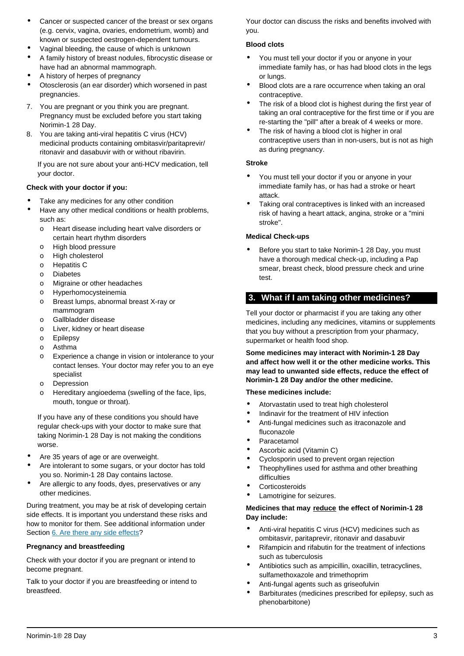- Cancer or suspected cancer of the breast or sex organs (e.g. cervix, vagina, ovaries, endometrium, womb) and known or suspected oestrogen-dependent tumours.
- Vaginal bleeding, the cause of which is unknown
- A family history of breast nodules, fibrocystic disease or have had an abnormal mammograph.
- A history of herpes of pregnancy
- Otosclerosis (an ear disorder) which worsened in past pregnancies.
- 7. You are pregnant or you think you are pregnant. Pregnancy must be excluded before you start taking Norimin-1 28 Day.
- 8. You are taking anti-viral hepatitis C virus (HCV) medicinal products containing ombitasvir/paritaprevir/ ritonavir and dasabuvir with or without ribavirin.

If you are not sure about your anti-HCV medication, tell your doctor.

#### **Check with your doctor if you:**

- Take any medicines for any other condition
- Have any other medical conditions or health problems, such as:
	- o Heart disease including heart valve disorders or certain heart rhythm disorders
	- o High blood pressure
	- o High cholesterol
	- o Hepatitis C
	- o Diabetes
	- o Migraine or other headaches
	- o Hyperhomocysteinemia
	- o Breast lumps, abnormal breast X-ray or mammogram
	- o Gallbladder disease
	- o Liver, kidney or heart disease
	- o Epilepsy
	- o Asthma
	- o Experience a change in vision or intolerance to your contact lenses. Your doctor may refer you to an eye specialist
	- o Depression
	- o Hereditary angioedema (swelling of the face, lips, mouth, tongue or throat).

If you have any of these conditions you should have regular check-ups with your doctor to make sure that taking Norimin-1 28 Day is not making the conditions worse.

- Are 35 years of age or are overweight.
- Are intolerant to some sugars, or your doctor has told you so. Norimin-1 28 Day contains lactose.
- Are allergic to any foods, dyes, preservatives or any other medicines.

During treatment, you may be at risk of developing certain side effects. It is important you understand these risks and how to monitor for them. See additional information under Section [6. Are there any side effects?](#page-5-0)

#### **Pregnancy and breastfeeding**

Check with your doctor if you are pregnant or intend to become pregnant.

Talk to your doctor if you are breastfeeding or intend to breastfeed.

Your doctor can discuss the risks and benefits involved with you.

#### **Blood clots**

- You must tell your doctor if you or anyone in your immediate family has, or has had blood clots in the legs or lungs.
- Blood clots are a rare occurrence when taking an oral contraceptive.
- The risk of a blood clot is highest during the first year of taking an oral contraceptive for the first time or if you are re-starting the "pill" after a break of 4 weeks or more.
- The risk of having a blood clot is higher in oral contraceptive users than in non-users, but is not as high as during pregnancy.

#### **Stroke**

- You must tell your doctor if you or anyone in your immediate family has, or has had a stroke or heart attack.
- Taking oral contraceptives is linked with an increased risk of having a heart attack, angina, stroke or a "mini stroke".

#### **Medical Check-ups**

• Before you start to take Norimin-1 28 Day, you must have a thorough medical check-up, including a Pap smear, breast check, blood pressure check and urine test.

# <span id="page-2-0"></span>**3. What if I am taking other medicines?**

Tell your doctor or pharmacist if you are taking any other medicines, including any medicines, vitamins or supplements that you buy without a prescription from your pharmacy, supermarket or health food shop.

**Some medicines may interact with Norimin-1 28 Day and affect how well it or the other medicine works. This may lead to unwanted side effects, reduce the effect of Norimin-1 28 Day and/or the other medicine.**

#### **These medicines include:**

- Atorvastatin used to treat high cholesterol
- Indinavir for the treatment of HIV infection
- Anti-fungal medicines such as itraconazole and fluconazole
- Paracetamol
- Ascorbic acid (Vitamin C)
- Cyclosporin used to prevent organ rejection
- Theophyllines used for asthma and other breathing difficulties
- **Corticosteroids**
- Lamotrigine for seizures.

#### **Medicines that may reduce the effect of Norimin-1 28 Day include:**

- Anti-viral hepatitis C virus (HCV) medicines such as ombitasvir, paritaprevir, ritonavir and dasabuvir
- Rifampicin and rifabutin for the treatment of infections such as tuberculosis
- Antibiotics such as ampicillin, oxacillin, tetracyclines, sulfamethoxazole and trimethoprim
- Anti-fungal agents such as griseofulvin
- Barbiturates (medicines prescribed for epilepsy, such as phenobarbitone)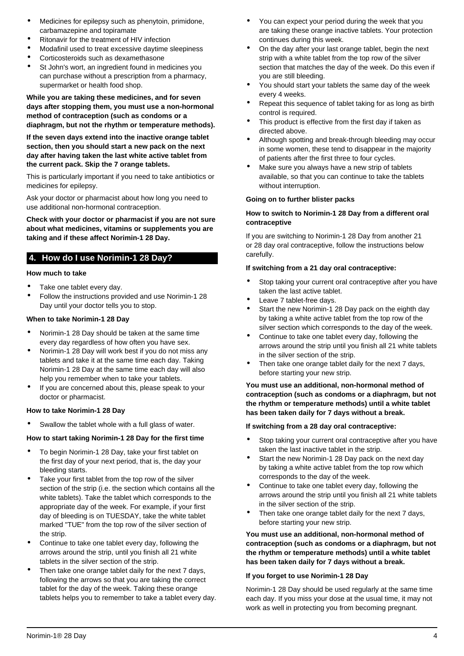- Medicines for epilepsy such as phenytoin, primidone, carbamazepine and topiramate
- Ritonavir for the treatment of HIV infection
- Modafinil used to treat excessive daytime sleepiness
- Corticosteroids such as dexamethasone
- St John's wort, an ingredient found in medicines you can purchase without a prescription from a pharmacy, supermarket or health food shop.

**While you are taking these medicines, and for seven days after stopping them, you must use a non-hormonal method of contraception (such as condoms or a diaphragm, but not the rhythm or temperature methods).**

**If the seven days extend into the inactive orange tablet section, then you should start a new pack on the next day after having taken the last white active tablet from the current pack. Skip the 7 orange tablets.**

This is particularly important if you need to take antibiotics or medicines for epilepsy.

Ask your doctor or pharmacist about how long you need to use additional non-hormonal contraception.

**Check with your doctor or pharmacist if you are not sure about what medicines, vitamins or supplements you are taking and if these affect Norimin-1 28 Day.**

# <span id="page-3-0"></span>**4. How do I use Norimin-1 28 Day?**

#### **How much to take**

- Take one tablet every day.
- Follow the instructions provided and use Norimin-1 28 Day until your doctor tells you to stop.

#### **When to take Norimin-1 28 Day**

- Norimin-1 28 Day should be taken at the same time every day regardless of how often you have sex.
- Norimin-1 28 Day will work best if you do not miss any tablets and take it at the same time each day. Taking Norimin-1 28 Day at the same time each day will also help you remember when to take your tablets.
- If you are concerned about this, please speak to your doctor or pharmacist.

#### **How to take Norimin-1 28 Day**

Swallow the tablet whole with a full glass of water.

#### **How to start taking Norimin-1 28 Day for the first time**

- To begin Norimin-1 28 Day, take your first tablet on the first day of your next period, that is, the day your bleeding starts.
- Take your first tablet from the top row of the silver section of the strip (i.e. the section which contains all the white tablets). Take the tablet which corresponds to the appropriate day of the week. For example, if your first day of bleeding is on TUESDAY, take the white tablet marked "TUE" from the top row of the silver section of the strip.
- Continue to take one tablet every day, following the arrows around the strip, until you finish all 21 white tablets in the silver section of the strip.
- Then take one orange tablet daily for the next 7 days, following the arrows so that you are taking the correct tablet for the day of the week. Taking these orange tablets helps you to remember to take a tablet every day.
- You can expect your period during the week that you are taking these orange inactive tablets. Your protection continues during this week.
- On the day after your last orange tablet, begin the next strip with a white tablet from the top row of the silver section that matches the day of the week. Do this even if you are still bleeding.
- You should start your tablets the same day of the week every 4 weeks.
- Repeat this sequence of tablet taking for as long as birth control is required.
- This product is effective from the first day if taken as directed above.
- Although spotting and break-through bleeding may occur in some women, these tend to disappear in the majority of patients after the first three to four cycles.
- Make sure you always have a new strip of tablets available, so that you can continue to take the tablets without interruption.

#### **Going on to further blister packs**

#### **How to switch to Norimin-1 28 Day from a different oral contraceptive**

If you are switching to Norimin-1 28 Day from another 21 or 28 day oral contraceptive, follow the instructions below carefully.

#### **If switching from a 21 day oral contraceptive:**

- Stop taking your current oral contraceptive after you have taken the last active tablet.
- Leave 7 tablet-free days.
- Start the new Norimin-1 28 Day pack on the eighth day by taking a white active tablet from the top row of the silver section which corresponds to the day of the week.
- Continue to take one tablet every day, following the arrows around the strip until you finish all 21 white tablets in the silver section of the strip.
- Then take one orange tablet daily for the next 7 days, before starting your new strip.

**You must use an additional, non-hormonal method of contraception (such as condoms or a diaphragm, but not the rhythm or temperature methods) until a white tablet has been taken daily for 7 days without a break.**

#### **If switching from a 28 day oral contraceptive:**

- Stop taking your current oral contraceptive after you have taken the last inactive tablet in the strip.
- Start the new Norimin-1 28 Day pack on the next day by taking a white active tablet from the top row which corresponds to the day of the week.
- Continue to take one tablet every day, following the arrows around the strip until you finish all 21 white tablets in the silver section of the strip.
- Then take one orange tablet daily for the next 7 days, before starting your new strip.

**You must use an additional, non-hormonal method of contraception (such as condoms or a diaphragm, but not the rhythm or temperature methods) until a white tablet has been taken daily for 7 days without a break.**

#### **If you forget to use Norimin-1 28 Day**

Norimin-1 28 Day should be used regularly at the same time each day. If you miss your dose at the usual time, it may not work as well in protecting you from becoming pregnant.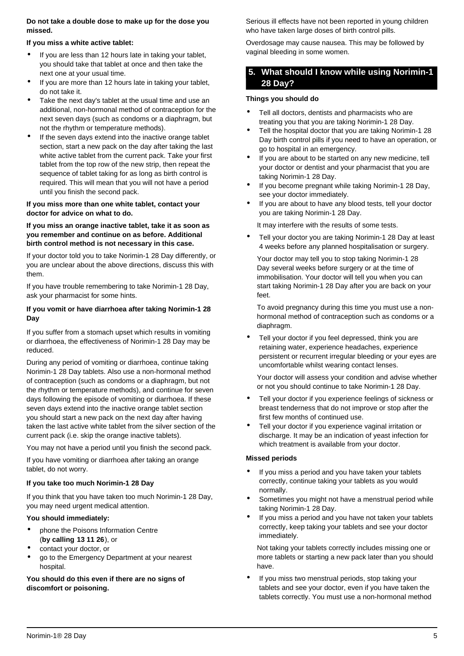#### **Do not take a double dose to make up for the dose you missed.**

#### **If you miss a white active tablet:**

- If you are less than 12 hours late in taking your tablet, you should take that tablet at once and then take the next one at your usual time.
- If you are more than 12 hours late in taking your tablet. do not take it.
- Take the next day's tablet at the usual time and use an additional, non-hormonal method of contraception for the next seven days (such as condoms or a diaphragm, but not the rhythm or temperature methods).
- If the seven days extend into the inactive orange tablet section, start a new pack on the day after taking the last white active tablet from the current pack. Take your first tablet from the top row of the new strip, then repeat the sequence of tablet taking for as long as birth control is required. This will mean that you will not have a period until you finish the second pack.

#### **If you miss more than one white tablet, contact your doctor for advice on what to do.**

#### **If you miss an orange inactive tablet, take it as soon as you remember and continue on as before. Additional birth control method is not necessary in this case.**

If your doctor told you to take Norimin-1 28 Day differently, or you are unclear about the above directions, discuss this with them.

If you have trouble remembering to take Norimin-1 28 Day, ask your pharmacist for some hints.

#### **If you vomit or have diarrhoea after taking Norimin-1 28 Day**

If you suffer from a stomach upset which results in vomiting or diarrhoea, the effectiveness of Norimin-1 28 Day may be reduced.

During any period of vomiting or diarrhoea, continue taking Norimin-1 28 Day tablets. Also use a non-hormonal method of contraception (such as condoms or a diaphragm, but not the rhythm or temperature methods), and continue for seven days following the episode of vomiting or diarrhoea. If these seven days extend into the inactive orange tablet section you should start a new pack on the next day after having taken the last active white tablet from the silver section of the current pack (i.e. skip the orange inactive tablets).

You may not have a period until you finish the second pack.

If you have vomiting or diarrhoea after taking an orange tablet, do not worry.

#### **If you take too much Norimin-1 28 Day**

If you think that you have taken too much Norimin-1 28 Day, you may need urgent medical attention.

#### **You should immediately:**

- phone the Poisons Information Centre (**by calling 13 11 26**), or
- contact your doctor, or
- go to the Emergency Department at your nearest hospital.

**You should do this even if there are no signs of discomfort or poisoning.**

Serious ill effects have not been reported in young children who have taken large doses of birth control pills.

Overdosage may cause nausea. This may be followed by vaginal bleeding in some women.

## <span id="page-4-0"></span>**5. What should I know while using Norimin-1 28 Day?**

#### **Things you should do**

- Tell all doctors, dentists and pharmacists who are treating you that you are taking Norimin-1 28 Day.
- Tell the hospital doctor that you are taking Norimin-1 28 Day birth control pills if you need to have an operation, or go to hospital in an emergency.
- If you are about to be started on any new medicine, tell your doctor or dentist and your pharmacist that you are taking Norimin-1 28 Day.
- If you become pregnant while taking Norimin-1 28 Day, see your doctor immediately.
- If you are about to have any blood tests, tell your doctor you are taking Norimin-1 28 Day.

It may interfere with the results of some tests.

• Tell your doctor you are taking Norimin-1 28 Day at least 4 weeks before any planned hospitalisation or surgery.

Your doctor may tell you to stop taking Norimin-1 28 Day several weeks before surgery or at the time of immobilisation. Your doctor will tell you when you can start taking Norimin-1 28 Day after you are back on your feet.

To avoid pregnancy during this time you must use a nonhormonal method of contraception such as condoms or a diaphragm.

Tell your doctor if you feel depressed, think you are retaining water, experience headaches, experience persistent or recurrent irregular bleeding or your eyes are uncomfortable whilst wearing contact lenses.

Your doctor will assess your condition and advise whether or not you should continue to take Norimin-1 28 Day.

- Tell your doctor if you experience feelings of sickness or breast tenderness that do not improve or stop after the first few months of continued use.
- Tell your doctor if you experience vaginal irritation or discharge. It may be an indication of yeast infection for which treatment is available from your doctor.

#### **Missed periods**

- If you miss a period and you have taken your tablets correctly, continue taking your tablets as you would normally.
- Sometimes you might not have a menstrual period while taking Norimin-1 28 Day.
- If you miss a period and you have not taken your tablets correctly, keep taking your tablets and see your doctor immediately.

Not taking your tablets correctly includes missing one or more tablets or starting a new pack later than you should have.

If you miss two menstrual periods, stop taking your tablets and see your doctor, even if you have taken the tablets correctly. You must use a non-hormonal method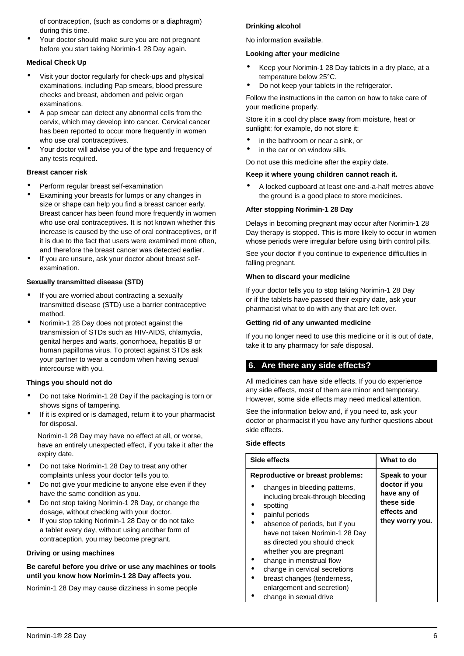of contraception, (such as condoms or a diaphragm) during this time.

• Your doctor should make sure you are not pregnant before you start taking Norimin-1 28 Day again.

#### **Medical Check Up**

- Visit your doctor regularly for check-ups and physical examinations, including Pap smears, blood pressure checks and breast, abdomen and pelvic organ examinations.
- A pap smear can detect any abnormal cells from the cervix, which may develop into cancer. Cervical cancer has been reported to occur more frequently in women who use oral contraceptives.
- Your doctor will advise you of the type and frequency of any tests required.

#### **Breast cancer risk**

- Perform regular breast self-examination
- Examining your breasts for lumps or any changes in size or shape can help you find a breast cancer early. Breast cancer has been found more frequently in women who use oral contraceptives. It is not known whether this increase is caused by the use of oral contraceptives, or if it is due to the fact that users were examined more often, and therefore the breast cancer was detected earlier.
- If you are unsure, ask your doctor about breast selfexamination.

#### **Sexually transmitted disease (STD)**

- If you are worried about contracting a sexually transmitted disease (STD) use a barrier contraceptive method.
- Norimin-1 28 Day does not protect against the transmission of STDs such as HIV-AIDS, chlamydia, genital herpes and warts, gonorrhoea, hepatitis B or human papilloma virus. To protect against STDs ask your partner to wear a condom when having sexual intercourse with you.

#### **Things you should not do**

- Do not take Norimin-1 28 Day if the packaging is torn or shows signs of tampering.
- If it is expired or is damaged, return it to your pharmacist for disposal.

Norimin-1 28 Day may have no effect at all, or worse, have an entirely unexpected effect, if you take it after the expiry date.

- Do not take Norimin-1 28 Day to treat any other complaints unless your doctor tells you to.
- Do not give your medicine to anyone else even if they have the same condition as you.
- Do not stop taking Norimin-1 28 Day, or change the dosage, without checking with your doctor.
- If you stop taking Norimin-1 28 Day or do not take a tablet every day, without using another form of contraception, you may become pregnant.

#### **Driving or using machines**

#### **Be careful before you drive or use any machines or tools until you know how Norimin-1 28 Day affects you.**

Norimin-1 28 Day may cause dizziness in some people

#### **Drinking alcohol**

No information available.

#### **Looking after your medicine**

- Keep your Norimin-1 28 Day tablets in a dry place, at a temperature below 25°C.
- Do not keep your tablets in the refrigerator.

Follow the instructions in the carton on how to take care of your medicine properly.

Store it in a cool dry place away from moisture, heat or sunlight; for example, do not store it:

- in the bathroom or near a sink, or
- in the car or on window sills.

#### Do not use this medicine after the expiry date.

#### **Keep it where young children cannot reach it.**

• A locked cupboard at least one-and-a-half metres above the ground is a good place to store medicines.

#### **After stopping Norimin-1 28 Day**

Delays in becoming pregnant may occur after Norimin-1 28 Day therapy is stopped. This is more likely to occur in women whose periods were irregular before using birth control pills.

See your doctor if you continue to experience difficulties in falling pregnant.

#### **When to discard your medicine**

If your doctor tells you to stop taking Norimin-1 28 Day or if the tablets have passed their expiry date, ask your pharmacist what to do with any that are left over.

#### **Getting rid of any unwanted medicine**

If you no longer need to use this medicine or it is out of date, take it to any pharmacy for safe disposal.

# <span id="page-5-0"></span>**6. Are there any side effects?**

All medicines can have side effects. If you do experience any side effects, most of them are minor and temporary. However, some side effects may need medical attention.

See the information below and, if you need to, ask your doctor or pharmacist if you have any further questions about side effects.

#### **Side effects**

| Side effects                                                                                                                                                                                                                                     | What to do                                                                                    |
|--------------------------------------------------------------------------------------------------------------------------------------------------------------------------------------------------------------------------------------------------|-----------------------------------------------------------------------------------------------|
| <b>Reproductive or breast problems:</b><br>changes in bleeding patterns,<br>including break-through bleeding<br>spotting<br>painful periods<br>absence of periods, but if you<br>have not taken Norimin-1 28 Day<br>as directed you should check | Speak to your<br>doctor if you<br>have any of<br>these side<br>effects and<br>they worry you. |
| whether you are pregnant<br>change in menstrual flow<br>change in cervical secretions<br>breast changes (tenderness,<br>enlargement and secretion)<br>change in covuol drive                                                                     |                                                                                               |

• change in sexual drive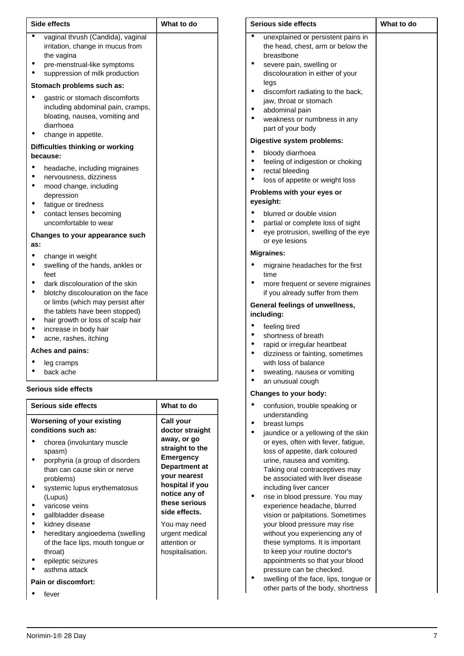| <b>Side effects</b>                                                                                                                                                                                                                                                                                 | What to do                                  |  |
|-----------------------------------------------------------------------------------------------------------------------------------------------------------------------------------------------------------------------------------------------------------------------------------------------------|---------------------------------------------|--|
| vaginal thrush (Candida), vaginal<br>irritation, change in mucus from<br>the vagina<br>pre-menstrual-like symptoms<br>suppression of milk production                                                                                                                                                |                                             |  |
| Stomach problems such as:                                                                                                                                                                                                                                                                           |                                             |  |
| gastric or stomach discomforts<br>including abdominal pain, cramps,<br>bloating, nausea, vomiting and<br>diarrhoea<br>change in appetite.                                                                                                                                                           |                                             |  |
| Difficulties thinking or working<br>because:                                                                                                                                                                                                                                                        |                                             |  |
| headache, including migraines<br>nervousness, dizziness<br>mood change, including<br>depression<br>fatigue or tiredness<br>contact lenses becoming<br>uncomfortable to wear                                                                                                                         |                                             |  |
| <b>Changes to your appearance such</b><br>as:                                                                                                                                                                                                                                                       |                                             |  |
| change in weight<br>swelling of the hands, ankles or<br>feet<br>dark discolouration of the skin<br>blotchy discolouration on the face<br>or limbs (which may persist after<br>the tablets have been stopped)<br>hair growth or loss of scalp hair<br>increase in body hair<br>acne, rashes, itching |                                             |  |
| Aches and pains:                                                                                                                                                                                                                                                                                    |                                             |  |
| leg cramps<br>back ache                                                                                                                                                                                                                                                                             |                                             |  |
| <b>Serious side effects</b>                                                                                                                                                                                                                                                                         |                                             |  |
| Serious side effects                                                                                                                                                                                                                                                                                | What to do                                  |  |
| <b>Worsening of your existing</b><br>conditions such as:<br>chores (involuntary muscle                                                                                                                                                                                                              | Call your<br>doctor straight<br>away, or go |  |

- chorea (involuntary muscle spasm)
- porphyria (a group of disorders than can cause skin or nerve problems)

**straight to the Emergency Department at your nearest hospital if you notice any of these serious side effects.** You may need urgent medical attention or hospitalisation.

- systemic lupus erythematosus (Lupus)
- varicose veins
- gallbladder disease
- kidney disease
- hereditary angioedema (swelling of the face lips, mouth tongue or throat)
- epileptic seizures
- asthma attack

#### **Pain or discomfort:**

fever

| <b>Serious side effects</b>                                                                                                                                                                                                                                                                        | What to do |
|----------------------------------------------------------------------------------------------------------------------------------------------------------------------------------------------------------------------------------------------------------------------------------------------------|------------|
| unexplained or persistent pains in<br>the head, chest, arm or below the<br>breastbone<br>severe pain, swelling or<br>discolouration in either of your<br>legs<br>discomfort radiating to the back,<br>jaw, throat or stomach<br>abdominal pain<br>weakness or numbness in any<br>part of your body |            |
| Digestive system problems:                                                                                                                                                                                                                                                                         |            |
| bloody diarrhoea<br>feeling of indigestion or choking<br>rectal bleeding<br>loss of appetite or weight loss                                                                                                                                                                                        |            |
| Problems with your eyes or<br>eyesight:                                                                                                                                                                                                                                                            |            |
| blurred or double vision<br>partial or complete loss of sight<br>eye protrusion, swelling of the eye<br>or eye lesions                                                                                                                                                                             |            |
| <b>Migraines:</b>                                                                                                                                                                                                                                                                                  |            |
| migraine headaches for the first<br>time<br>more frequent or severe migraines<br>if you already suffer from them                                                                                                                                                                                   |            |
| General feelings of unwellness,<br>including:                                                                                                                                                                                                                                                      |            |
| feeling tired<br>shortness of breath<br>rapid or irregular heartbeat<br>dizziness or fainting, sometimes<br>with loss of balance<br>sweating, nausea or vomiting<br>an unusual cough                                                                                                               |            |
| Changes to your body:                                                                                                                                                                                                                                                                              |            |
| confusion, trouble speaking or<br>understanding<br>breast lumps<br>jaundice or a yellowing of the skin<br>or eyes, often with fever, fatigue,<br>loss of appetite, dark coloured<br>urine, nausea and vomiting.<br>Taking oral contraceptives may<br>be associated with liver disease              |            |

- including liver cancer • rise in blood pressure. You may experience headache, blurred vision or palpitations. Sometimes your blood pressure may rise without you experiencing any of these symptoms. It is important to keep your routine doctor's appointments so that your blood pressure can be checked.
- swelling of the face, lips, tongue or other parts of the body, shortness